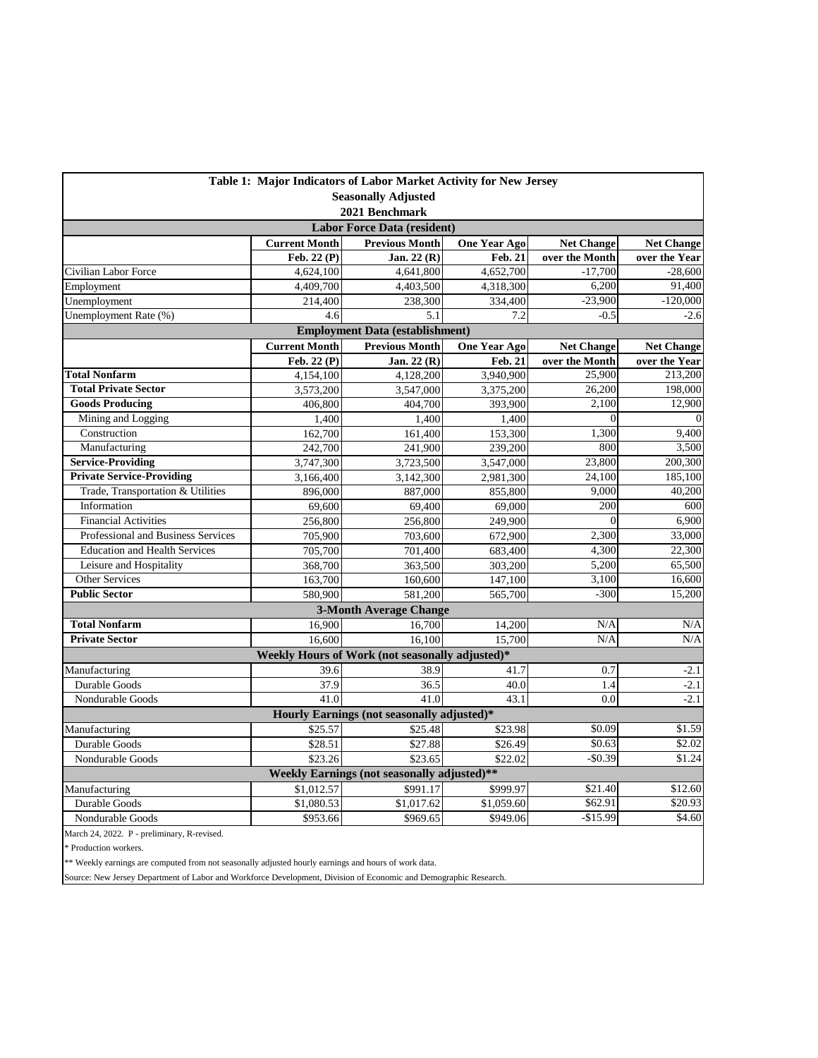| Table 1: Major Indicators of Labor Market Activity for New Jersey |                      |                                                 |                     |                   |                   |  |  |  |
|-------------------------------------------------------------------|----------------------|-------------------------------------------------|---------------------|-------------------|-------------------|--|--|--|
| <b>Seasonally Adjusted</b>                                        |                      |                                                 |                     |                   |                   |  |  |  |
| 2021 Benchmark                                                    |                      |                                                 |                     |                   |                   |  |  |  |
| <b>Labor Force Data (resident)</b>                                |                      |                                                 |                     |                   |                   |  |  |  |
|                                                                   | <b>Current Month</b> | <b>Previous Month</b>                           | <b>One Year Ago</b> | <b>Net Change</b> | <b>Net Change</b> |  |  |  |
|                                                                   | Feb. 22 (P)          | Jan. $22(R)$                                    | <b>Feb. 21</b>      | over the Month    | over the Year     |  |  |  |
| Civilian Labor Force                                              | 4,624,100            | 4,641,800                                       | 4,652,700           | $-17,700$         | $-28,600$         |  |  |  |
| Employment                                                        | 4,409,700            | 4,403,500                                       | 4,318,300           | 6,200             | 91,400            |  |  |  |
| Unemployment                                                      | 214,400              | 238,300                                         | 334,400             | $-23,900$         | $-120,000$        |  |  |  |
| Unemployment Rate (%)                                             | 4.6                  | 5.1                                             | 7.2                 | $-0.5$            | $-2.6$            |  |  |  |
| <b>Employment Data (establishment)</b>                            |                      |                                                 |                     |                   |                   |  |  |  |
|                                                                   | <b>Current Month</b> | <b>Previous Month</b>                           | <b>One Year Ago</b> | <b>Net Change</b> | <b>Net Change</b> |  |  |  |
|                                                                   | Feb. 22 (P)          | Jan. 22 (R)                                     | <b>Feb. 21</b>      | over the Month    | over the Year     |  |  |  |
| <b>Total Nonfarm</b>                                              | 4,154,100            | 4,128,200                                       | 3,940,900           | 25,900            | 213,200           |  |  |  |
| <b>Total Private Sector</b>                                       | 3,573,200            | 3,547,000                                       | 3,375,200           | 26,200            | 198,000           |  |  |  |
| <b>Goods Producing</b>                                            | 406,800              | 404,700                                         | 393,900             | 2,100             | 12,900            |  |  |  |
| Mining and Logging                                                | 1,400                | 1,400                                           | 1,400               | $\theta$          |                   |  |  |  |
| Construction                                                      | 162,700              | 161,400                                         | 153,300             | 1,300             | 9,400             |  |  |  |
| Manufacturing                                                     | 242,700              | 241,900                                         | 239,200             | 800               | 3,500             |  |  |  |
| <b>Service-Providing</b>                                          | 3,747,300            | 3,723,500                                       | 3,547,000           | 23,800            | 200,300           |  |  |  |
| <b>Private Service-Providing</b>                                  | 3,166,400            | 3,142,300                                       | 2,981,300           | 24,100            | 185,100           |  |  |  |
| Trade, Transportation & Utilities                                 | 896,000              | 887,000                                         | 855,800             | 9,000             | 40,200            |  |  |  |
| Information                                                       | 69,600               | 69,400                                          | 69,000              | 200               | 600               |  |  |  |
| <b>Financial Activities</b>                                       | 256,800              | 256,800                                         | 249,900             | $\mathbf{0}$      | 6,900             |  |  |  |
| Professional and Business Services                                | 705,900              | 703,600<br>672,900                              |                     | 2,300             | 33,000            |  |  |  |
| <b>Education and Health Services</b>                              | 705,700              | 701,400                                         | 683,400             | 4,300<br>5,200    | 22,300            |  |  |  |
| Leisure and Hospitality                                           | 368,700              | 363,500                                         | 303,200             |                   | 65,500            |  |  |  |
| Other Services                                                    | 163,700              | 160,600                                         | 147,100             | 3,100             | 16,600            |  |  |  |
| <b>Public Sector</b>                                              | 580,900              | 581.200                                         | 565,700             | $-300$            | 15,200            |  |  |  |
|                                                                   |                      | <b>3-Month Average Change</b>                   |                     |                   |                   |  |  |  |
| <b>Total Nonfarm</b>                                              | 16,900               | 16.700                                          | 14,200              | N/A               | N/A               |  |  |  |
| <b>Private Sector</b>                                             | 16,600               | 16,100                                          | 15,700              | N/A               | N/A               |  |  |  |
|                                                                   |                      | Weekly Hours of Work (not seasonally adjusted)* |                     |                   |                   |  |  |  |
| Manufacturing                                                     | 39.6                 | 38.9                                            | 41.7                | 0.7               | $-2.1$            |  |  |  |
| Durable Goods                                                     | 37.9                 | 36.5                                            | 40.0                | 1.4               | $-2.1$            |  |  |  |
| Nondurable Goods                                                  | 41.0                 | 41.0                                            | 43.1                | 0.0               | $-2.1$            |  |  |  |
| Hourly Earnings (not seasonally adjusted)*                        |                      |                                                 |                     |                   |                   |  |  |  |
| Manufacturing                                                     | \$25.57              | \$25.48                                         | \$23.98             | \$0.09            | \$1.59            |  |  |  |
| Durable Goods                                                     | \$28.51              | \$27.88                                         | \$26.49             | \$0.63            | \$2.02            |  |  |  |
| Nondurable Goods                                                  | \$23.26              | \$23.65                                         | \$22.02             | $-$0.39$          | \$1.24            |  |  |  |
| Weekly Earnings (not seasonally adjusted)**                       |                      |                                                 |                     |                   |                   |  |  |  |
| Manufacturing                                                     | \$1,012.57           | \$991.17                                        | \$999.97            | \$21.40           | \$12.60           |  |  |  |
| Durable Goods                                                     | \$1,080.53           | \$1,017.62                                      | \$1,059.60          | \$62.91           | \$20.93           |  |  |  |
| Nondurable Goods                                                  | \$953.66             | \$969.65                                        | \$949.06            | $-$15.99$         | \$4.60            |  |  |  |
| March 24, 2022. P - preliminary, R-revised.                       |                      |                                                 |                     |                   |                   |  |  |  |

 $\hspace{0.1mm}^*$  Production workers.

\*\* Weekly earnings are computed from not seasonally adjusted hourly earnings and hours of work data.

Source: New Jersey Department of Labor and Workforce Development, Division of Economic and Demographic Research.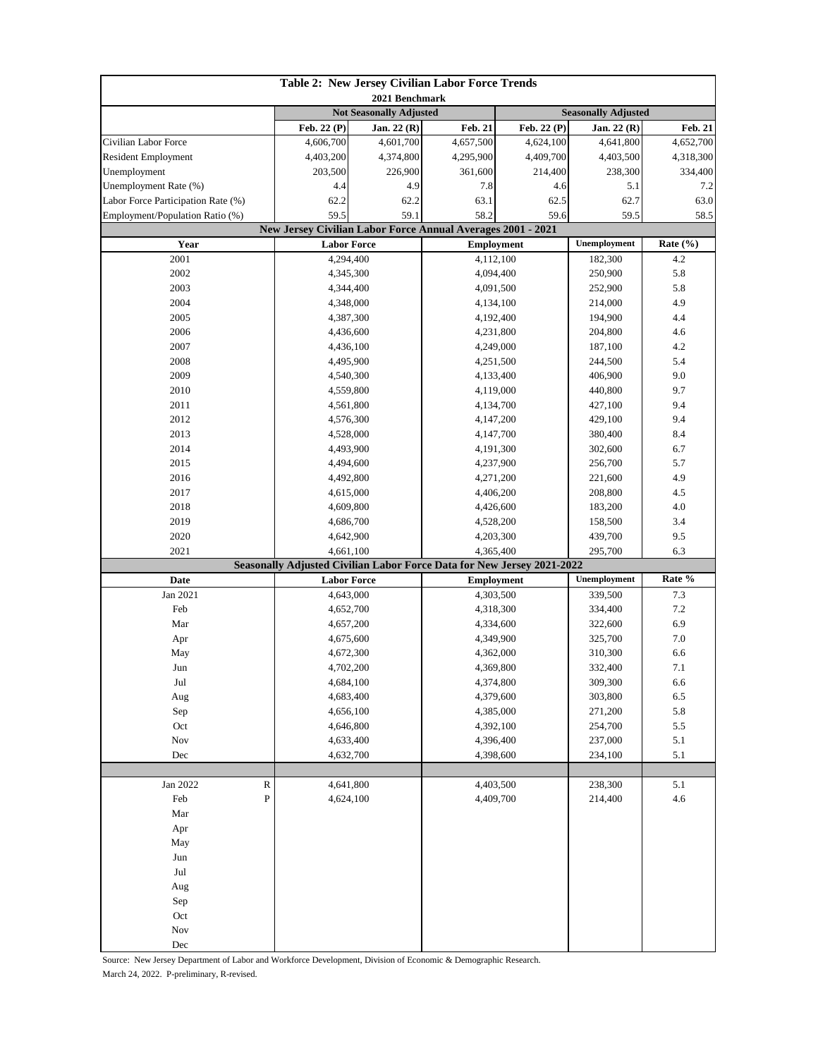| Table 2: New Jersey Civilian Labor Force Trends |                                                                                |                                 |                                                                                     |                                |                               |           |  |
|-------------------------------------------------|--------------------------------------------------------------------------------|---------------------------------|-------------------------------------------------------------------------------------|--------------------------------|-------------------------------|-----------|--|
|                                                 | 2021 Benchmark<br><b>Not Seasonally Adjusted</b><br><b>Seasonally Adjusted</b> |                                 |                                                                                     |                                |                               |           |  |
|                                                 | $\overline{\text{Feb}}$ . 22 (P)                                               | Jan. 22 (R)                     | Feb. 22 (P)<br><b>Feb. 21</b>                                                       |                                | Jan. 22 (R)<br><b>Feb. 21</b> |           |  |
| Civilian Labor Force                            | 4,606,700                                                                      | 4,601,700                       | 4,657,500                                                                           | 4,624,100                      | 4,641,800                     | 4,652,700 |  |
| <b>Resident Employment</b>                      | 4,403,200                                                                      | 4,374,800                       | 4,295,900                                                                           | 4,409,700                      | 4,403,500                     | 4,318,300 |  |
| Unemployment                                    | 203,500                                                                        | 226,900                         | 361,600                                                                             | 214,400                        | 238,300                       | 334,400   |  |
| Unemployment Rate (%)                           | 4.4                                                                            | 4.9                             | 7.8                                                                                 | 4.6                            | 5.1                           | 7.2       |  |
| Labor Force Participation Rate (%)              | 62.2                                                                           | 62.2                            | 63.1                                                                                | 62.5                           | 62.7                          | 63.0      |  |
| Employment/Population Ratio (%)                 | 59.5<br>59.1                                                                   |                                 | 58.2<br>59.6                                                                        |                                | 59.5                          | 58.5      |  |
|                                                 | New Jersey Civilian Labor Force Annual Averages 2001 - 2021                    |                                 |                                                                                     |                                |                               |           |  |
| Year                                            |                                                                                | <b>Labor Force</b>              |                                                                                     | <b>Employment</b>              | Unemployment                  | Rate (%)  |  |
| 2001                                            |                                                                                | 4,294,400                       |                                                                                     | 4,112,100                      | 182,300                       | 4.2       |  |
| 2002                                            |                                                                                | 4,345,300                       | 4,094,400                                                                           |                                | 250,900                       | 5.8       |  |
| 2003                                            |                                                                                | 4,344,400                       | 4,091,500                                                                           |                                | 252,900                       | 5.8       |  |
| 2004                                            |                                                                                | 4,348,000                       | 4,134,100                                                                           |                                | 214,000                       | 4.9       |  |
| 2005                                            |                                                                                | 4,387,300                       | 4,192,400                                                                           |                                | 194,900                       | 4.4       |  |
| 2006                                            |                                                                                | 4,436,600                       |                                                                                     | 4,231,800                      | 204,800                       | 4.6       |  |
| 2007                                            |                                                                                | 4,436,100                       | 4,249,000                                                                           |                                | 187,100                       | 4.2       |  |
| 2008                                            |                                                                                | 4,495,900                       |                                                                                     | 4,251,500                      | 244,500                       | 5.4       |  |
| 2009                                            |                                                                                | 4,540,300                       |                                                                                     | 4,133,400                      | 406,900                       | 9.0       |  |
| 2010                                            |                                                                                | 4,559,800                       |                                                                                     | 4,119,000                      | 440,800                       | 9.7       |  |
| 2011                                            |                                                                                | 4,561,800                       |                                                                                     | 4,134,700                      |                               | 9.4       |  |
| 2012                                            |                                                                                | 4,576,300                       |                                                                                     | 4,147,200                      |                               | 9.4       |  |
| 2013                                            | 4,528,000                                                                      |                                 | 4,147,700                                                                           |                                | 380,400                       | 8.4       |  |
| 2014                                            | 4,493,900                                                                      |                                 | 4,191,300                                                                           |                                | 302,600                       | 6.7       |  |
| 2015                                            |                                                                                | 4,494,600                       |                                                                                     | 4,237,900                      | 256,700                       | 5.7       |  |
| 2016                                            |                                                                                | 4,492,800                       | 4,271,200                                                                           |                                | 221,600                       | 4.9       |  |
| 2017                                            | 4,615,000                                                                      |                                 | 4,406,200                                                                           |                                | 208,800                       | 4.5       |  |
| 2018                                            |                                                                                | 4,609,800                       | 4,426,600                                                                           |                                | 183,200                       | 4.0       |  |
| 2019                                            |                                                                                | 4,686,700                       | 4,528,200                                                                           |                                | 158,500                       | 3.4       |  |
| 2020                                            |                                                                                | 4,642,900                       | 4,203,300                                                                           |                                | 439,700                       | 9.5       |  |
| 2021                                            |                                                                                | 4,661,100                       | 4,365,400<br>Seasonally Adjusted Civilian Labor Force Data for New Jersey 2021-2022 |                                | 295,700                       | 6.3       |  |
| Date                                            |                                                                                |                                 |                                                                                     |                                | Unemployment                  | Rate %    |  |
| Jan 2021                                        |                                                                                | <b>Labor Force</b><br>4,643,000 |                                                                                     | <b>Employment</b><br>4,303,500 | 339,500                       | 7.3       |  |
| Feb                                             |                                                                                |                                 |                                                                                     |                                | 334,400                       | 7.2       |  |
| Mar                                             | 4,652,700<br>4,657,200                                                         |                                 | 4,318,300<br>4,334,600                                                              |                                | 322,600                       | 6.9       |  |
| Apr                                             | 4,675,600                                                                      |                                 | 4,349,900                                                                           |                                | 325,700                       | $7.0\,$   |  |
| May                                             | 4,672,300                                                                      |                                 | 4,362,000                                                                           |                                | 310,300                       | 6.6       |  |
| Jun                                             | 4,702,200                                                                      |                                 | 4,369,800                                                                           |                                | 332,400                       | 7.1       |  |
| Jul                                             | 4,684,100                                                                      |                                 | 4,374,800                                                                           |                                | 309,300                       | 6.6       |  |
| Aug                                             | 4,683,400                                                                      |                                 | 4,379,600                                                                           |                                | 303,800                       | 6.5       |  |
| Sep                                             | 4,656,100                                                                      |                                 | 4,385,000                                                                           |                                | 271,200                       | 5.8       |  |
| Oct                                             | 4,646,800                                                                      |                                 | 4,392,100                                                                           |                                | 254,700                       | 5.5       |  |
| Nov                                             | 4,633,400                                                                      |                                 | 4,396,400                                                                           |                                | 237,000                       | $5.1\,$   |  |
| Dec                                             | 4,632,700                                                                      |                                 | 4,398,600                                                                           |                                | 234,100                       | $5.1\,$   |  |
|                                                 |                                                                                |                                 |                                                                                     |                                |                               |           |  |
| Jan 2022<br>$\mathbb R$                         |                                                                                | 4,641,800                       |                                                                                     | 4,403,500                      | 238,300                       | 5.1       |  |
| ${\bf P}$<br>Feb                                |                                                                                | 4,624,100                       |                                                                                     | 4,409,700                      | 214,400                       | 4.6       |  |
| Mar                                             |                                                                                |                                 |                                                                                     |                                |                               |           |  |
| Apr                                             |                                                                                |                                 |                                                                                     |                                |                               |           |  |
| May                                             |                                                                                |                                 |                                                                                     |                                |                               |           |  |
| Jun                                             |                                                                                |                                 |                                                                                     |                                |                               |           |  |
| Jul                                             |                                                                                |                                 |                                                                                     |                                |                               |           |  |
| Aug                                             |                                                                                |                                 |                                                                                     |                                |                               |           |  |
| Sep                                             |                                                                                |                                 |                                                                                     |                                |                               |           |  |
| Oct                                             |                                                                                |                                 |                                                                                     |                                |                               |           |  |
| Nov                                             |                                                                                |                                 |                                                                                     |                                |                               |           |  |
| Dec                                             |                                                                                |                                 |                                                                                     |                                |                               |           |  |

Source: New Jersey Department of Labor and Workforce Development, Division of Economic & Demographic Research.

March 24, 2022. P-preliminary, R-revised.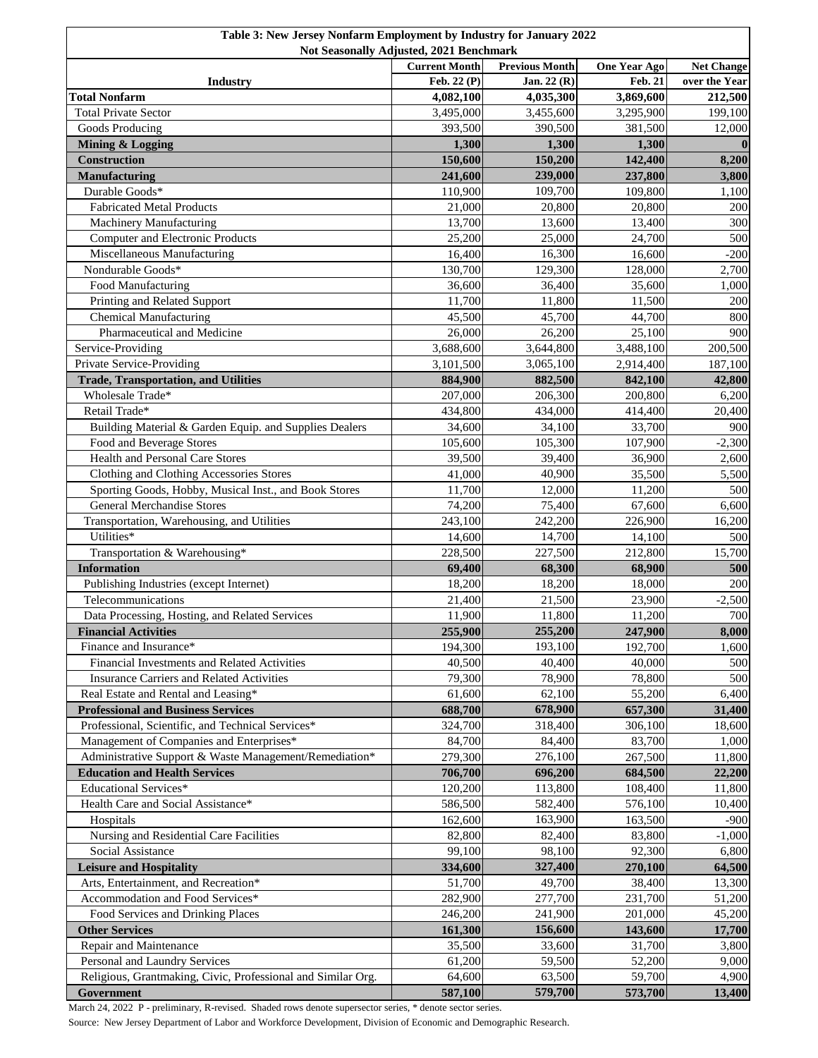| Not Seasonally Adjusted, 2021 Benchmark                                       |                                     |                          |                                |                                    |
|-------------------------------------------------------------------------------|-------------------------------------|--------------------------|--------------------------------|------------------------------------|
|                                                                               | <b>Current Month</b><br>Feb. 22 (P) | <b>Previous Month</b>    | <b>One Year Ago</b><br>Feb. 21 | <b>Net Change</b><br>over the Year |
| <b>Industry</b><br><b>Total Nonfarm</b>                                       | 4,082,100                           | Jan. 22 (R)<br>4,035,300 | 3,869,600                      | 212,500                            |
| <b>Total Private Sector</b>                                                   | 3,495,000                           | 3,455,600                | 3,295,900                      | 199,100                            |
| Goods Producing                                                               | 393,500                             | 390,500                  | 381,500                        | 12,000                             |
| <b>Mining &amp; Logging</b>                                                   | 1,300                               | 1,300                    | 1,300                          | $\mathbf 0$                        |
| Construction                                                                  | 150,600                             | 150,200                  | 142,400                        | 8,200                              |
| <b>Manufacturing</b>                                                          | 241,600                             | 239,000                  | 237,800                        | 3,800                              |
| Durable Goods*                                                                | 110,900                             | 109,700                  | 109,800                        | 1,100                              |
| <b>Fabricated Metal Products</b>                                              | 21,000                              | 20,800                   | 20,800                         | 200                                |
| Machinery Manufacturing                                                       | 13,700                              | 13,600                   | 13,400                         | 300                                |
| <b>Computer and Electronic Products</b>                                       | 25,200                              | 25,000                   | 24,700                         | 500                                |
| Miscellaneous Manufacturing                                                   | 16,400                              | 16,300                   | 16,600                         | $-200$                             |
| Nondurable Goods*                                                             | 130,700                             | 129,300                  | 128,000                        | 2,700                              |
| Food Manufacturing                                                            | 36,600                              | 36,400                   | 35,600                         | 1,000                              |
| Printing and Related Support                                                  | 11,700                              | 11,800                   | 11,500                         | 200                                |
| <b>Chemical Manufacturing</b>                                                 | 45,500                              | 45,700                   | 44,700                         | 800                                |
| Pharmaceutical and Medicine                                                   | 26,000                              | 26,200                   | 25,100                         | 900                                |
| Service-Providing                                                             | 3,688,600                           | 3,644,800                | 3,488,100                      | 200,500                            |
| Private Service-Providing                                                     | 3,101,500                           | 3,065,100                | 2,914,400                      | 187,100                            |
| <b>Trade, Transportation, and Utilities</b>                                   | 884,900                             | 882,500                  | 842,100                        | 42,800                             |
| Wholesale Trade*                                                              | 207,000                             | 206,300                  | 200,800                        | 6,200                              |
| Retail Trade*                                                                 | 434,800                             | 434,000                  | 414,400                        | 20,400                             |
| Building Material & Garden Equip. and Supplies Dealers                        | 34,600                              | 34,100                   | 33,700                         | 900                                |
| Food and Beverage Stores                                                      | 105,600                             | 105,300                  | 107,900                        | $-2,300$                           |
| Health and Personal Care Stores                                               | 39,500                              | 39,400                   | 36,900                         | 2,600                              |
| Clothing and Clothing Accessories Stores                                      | 41,000                              | 40,900                   | 35,500                         | 5,500                              |
| Sporting Goods, Hobby, Musical Inst., and Book Stores                         | 11,700                              | 12,000                   | 11,200                         | 500                                |
| General Merchandise Stores                                                    | 74,200                              | 75,400                   | 67,600                         | 6,600                              |
| Transportation, Warehousing, and Utilities                                    | 243,100                             | 242,200                  | 226,900                        | 16,200                             |
| Utilities*                                                                    | 14,600                              | 14,700                   | 14,100                         | 500                                |
| Transportation & Warehousing*                                                 | 228,500                             | 227,500                  | 212,800                        | 15,700                             |
| <b>Information</b>                                                            | 69,400                              | 68,300                   | 68,900                         | 500                                |
| Publishing Industries (except Internet)<br>Telecommunications                 | 18,200                              | 18,200                   | 18,000                         | 200                                |
|                                                                               | 21,400<br>11,900                    | 21,500                   | 23,900                         | $-2,500$                           |
| Data Processing, Hosting, and Related Services<br><b>Financial Activities</b> | 255,900                             | 11,800<br>255,200        | 11,200<br>247,900              | 700<br>8,000                       |
| Finance and Insurance*                                                        | 194,300                             | 193,100                  | 192,700                        | 1,600                              |
| Financial Investments and Related Activities                                  | 40,500                              | 40,400                   | 40,000                         | 500                                |
| <b>Insurance Carriers and Related Activities</b>                              | 79,300                              | 78,900                   | 78,800                         | 500                                |
| Real Estate and Rental and Leasing*                                           | 61,600                              | 62,100                   | 55,200                         | 6,400                              |
| <b>Professional and Business Services</b>                                     | 688,700                             | 678,900                  | 657,300                        | 31,400                             |
| Professional, Scientific, and Technical Services*                             | 324,700                             | 318,400                  | 306,100                        | 18,600                             |
| Management of Companies and Enterprises*                                      | 84,700                              | 84,400                   | 83,700                         | 1,000                              |
| Administrative Support & Waste Management/Remediation*                        | 279,300                             | 276,100                  | 267,500                        | 11,800                             |
| <b>Education and Health Services</b>                                          | 706,700                             | 696,200                  | 684,500                        | 22,200                             |
| <b>Educational Services*</b>                                                  | 120,200                             | 113,800                  | 108,400                        | 11,800                             |
| Health Care and Social Assistance*                                            | 586,500                             | 582,400                  | 576,100                        | 10,400                             |
| Hospitals                                                                     | 162,600                             | 163,900                  | 163,500                        | $-900$                             |
| Nursing and Residential Care Facilities                                       | 82,800                              | 82,400                   | 83,800                         | $-1,000$                           |
| Social Assistance                                                             | 99,100                              | 98,100                   | 92,300                         | 6,800                              |
| <b>Leisure and Hospitality</b>                                                | 334,600                             | 327,400                  | 270,100                        | 64,500                             |
| Arts, Entertainment, and Recreation*                                          | 51,700                              | 49,700                   | 38,400                         | 13,300                             |
| Accommodation and Food Services*                                              | 282,900                             | 277,700                  | 231,700                        | 51,200                             |
| Food Services and Drinking Places                                             | 246,200                             | 241,900                  | 201,000                        | 45,200                             |
| <b>Other Services</b>                                                         | 161,300                             | 156,600                  | 143,600                        | 17,700                             |
| Repair and Maintenance                                                        | 35,500                              | 33,600                   | 31,700                         | 3,800                              |
| Personal and Laundry Services                                                 | 61,200                              | 59,500                   | 52,200                         | 9,000                              |
| Religious, Grantmaking, Civic, Professional and Similar Org.                  | 64,600                              | 63,500                   | 59,700                         | 4,900                              |
| Government                                                                    | 587,100                             | 579,700                  | 573,700                        | 13,400                             |

March 24, 2022 P - preliminary, R-revised. Shaded rows denote supersector series, \* denote sector series.

Source: New Jersey Department of Labor and Workforce Development, Division of Economic and Demographic Research.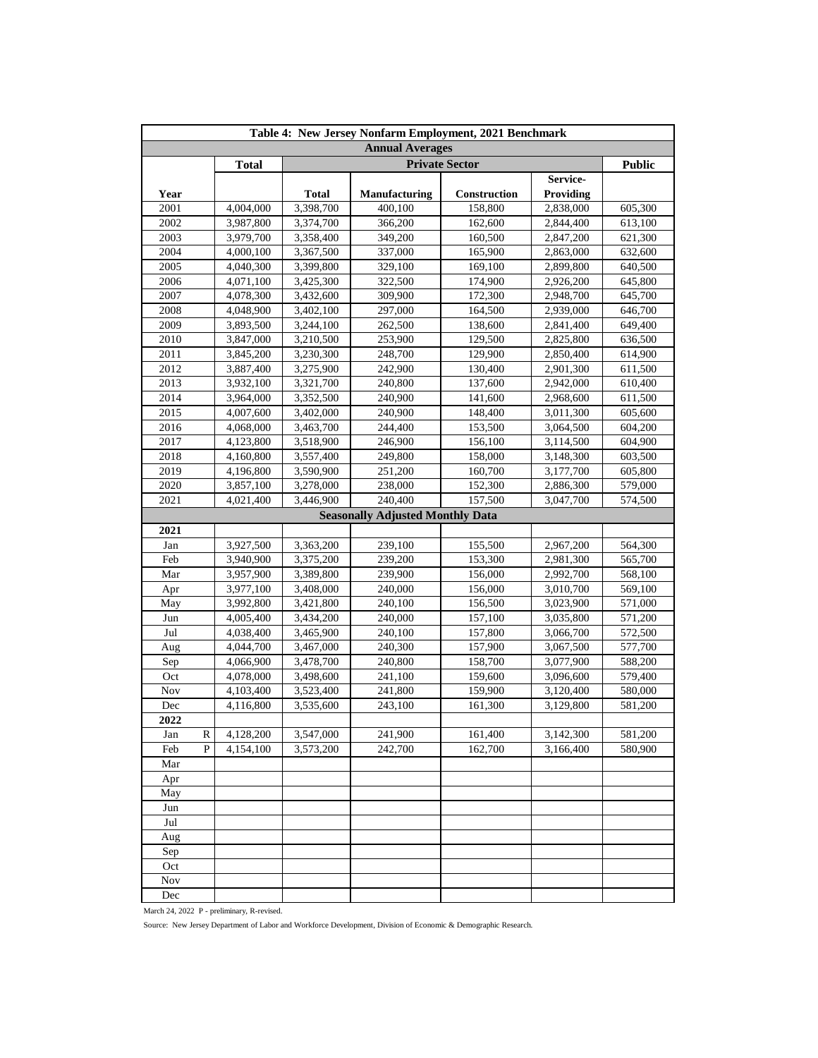| Table 4: New Jersey Nonfarm Employment, 2021 Benchmark |   |              |                       |                                         |              |                  |               |  |
|--------------------------------------------------------|---|--------------|-----------------------|-----------------------------------------|--------------|------------------|---------------|--|
| <b>Annual Averages</b>                                 |   |              |                       |                                         |              |                  |               |  |
|                                                        |   | <b>Total</b> | <b>Private Sector</b> |                                         |              |                  | <b>Public</b> |  |
|                                                        |   |              |                       |                                         |              | Service-         |               |  |
| Year                                                   |   |              | <b>Total</b>          | Manufacturing                           | Construction | <b>Providing</b> |               |  |
| 2001                                                   |   | 4,004,000    | 3,398,700             | 400,100                                 | 158,800      | 2,838,000        | 605,300       |  |
| 2002                                                   |   | 3,987,800    | 3,374,700             | 366,200                                 | 162,600      | 2,844,400        | 613,100       |  |
| 2003                                                   |   | 3,979,700    | 3,358,400             | 349,200                                 | 160,500      | 2,847,200        | 621,300       |  |
| 2004                                                   |   | 4,000,100    | 3,367,500             | 337,000                                 | 165,900      | 2,863,000        | 632,600       |  |
| 2005                                                   |   | 4,040,300    | 3,399,800             | 329,100                                 | 169,100      | 2,899,800        | 640,500       |  |
| 2006                                                   |   | 4,071,100    | 3,425,300             | 322,500                                 | 174,900      | 2,926,200        | 645,800       |  |
| 2007                                                   |   | 4,078,300    | 3,432,600             | 309,900                                 | 172,300      | 2,948,700        | 645,700       |  |
| 2008                                                   |   | 4,048,900    | 3,402,100             | 297,000                                 | 164,500      | 2,939,000        | 646,700       |  |
| 2009                                                   |   | 3,893,500    | 3,244,100             | 262,500                                 | 138,600      | 2,841,400        | 649,400       |  |
| 2010                                                   |   | 3,847,000    | 3,210,500             | 253,900                                 | 129,500      | 2,825,800        | 636,500       |  |
| 2011                                                   |   | 3,845,200    | 3,230,300             | 248,700                                 | 129,900      | 2,850,400        | 614,900       |  |
| 2012                                                   |   | 3,887,400    | 3,275,900             | 242,900                                 | 130,400      | 2,901,300        | 611,500       |  |
| 2013                                                   |   | 3,932,100    | 3,321,700             | 240,800                                 | 137,600      | 2,942,000        | 610,400       |  |
| 2014                                                   |   | 3,964,000    | 3,352,500             | 240,900                                 | 141,600      | 2,968,600        | 611,500       |  |
| 2015                                                   |   | 4,007,600    | 3,402,000             | 240,900                                 | 148,400      | 3,011,300        | 605,600       |  |
| 2016                                                   |   | 4,068,000    | 3,463,700             | 244,400                                 | 153,500      | 3,064,500        | 604,200       |  |
| 2017                                                   |   | 4,123,800    | 3,518,900             | 246,900                                 | 156,100      | 3,114,500        | 604,900       |  |
| 2018                                                   |   | 4,160,800    | 3,557,400             | 249,800                                 | 158,000      | 3,148,300        | 603,500       |  |
| 2019                                                   |   | 4,196,800    | 3,590,900             | 251,200                                 | 160,700      | 3,177,700        | 605,800       |  |
| 2020                                                   |   | 3,857,100    | 3,278,000             | 238,000                                 | 152,300      | 2,886,300        | 579,000       |  |
| 2021                                                   |   | 4,021,400    | 3,446,900             | 240,400                                 | 157,500      | 3,047,700        | 574,500       |  |
|                                                        |   |              |                       | <b>Seasonally Adjusted Monthly Data</b> |              |                  |               |  |
| 2021                                                   |   |              |                       |                                         |              |                  |               |  |
| Jan                                                    |   | 3,927,500    | 3,363,200             | 239,100                                 | 155,500      | 2,967,200        | 564,300       |  |
| Feb                                                    |   | 3,940,900    | 3,375,200             | 239,200                                 | 153,300      | 2,981,300        | 565,700       |  |
| Mar                                                    |   | 3,957,900    | 3,389,800             | 239,900                                 | 156,000      | 2,992,700        | 568,100       |  |
| Apr                                                    |   | 3,977,100    | 3,408,000             | 240,000                                 | 156,000      | 3,010,700        | 569,100       |  |
| May                                                    |   | 3,992,800    | 3,421,800             | 240,100                                 | 156,500      | 3,023,900        | 571,000       |  |
| Jun                                                    |   | 4,005,400    | 3,434,200             | 240,000                                 | 157,100      | 3,035,800        | 571,200       |  |
| Jul                                                    |   | 4,038,400    | 3,465,900             | 240,100                                 | 157,800      | 3,066,700        | 572,500       |  |
| Aug                                                    |   | 4,044,700    | 3,467,000             | 240,300                                 | 157,900      | 3,067,500        | 577,700       |  |
| Sep                                                    |   | 4,066,900    | 3,478,700             | 240,800                                 | 158,700      | 3,077,900        | 588,200       |  |
| Oct                                                    |   | 4,078,000    | 3,498,600             | 241,100                                 | 159,600      | 3,096,600        | 579,400       |  |
| Nov                                                    |   | 4,103,400    | 3,523,400             | 241,800                                 | 159,900      | 3,120,400        | 580,000       |  |
| Dec                                                    |   | 4,116,800    | 3,535,600             | 243,100                                 | 161,300      | 3,129,800        | 581,200       |  |
| 2022                                                   |   |              |                       |                                         |              |                  |               |  |
| Jan                                                    | R | 4,128,200    | 3,547,000             | 241,900                                 | 161,400      | 3,142,300        | 581,200       |  |
| Feb                                                    | P | 4,154,100    | 3,573,200             | 242,700                                 | 162,700      | 3,166,400        | 580,900       |  |
| Mar                                                    |   |              |                       |                                         |              |                  |               |  |
| Apr                                                    |   |              |                       |                                         |              |                  |               |  |
| May                                                    |   |              |                       |                                         |              |                  |               |  |
| Jun                                                    |   |              |                       |                                         |              |                  |               |  |
| Jul                                                    |   |              |                       |                                         |              |                  |               |  |
| Aug                                                    |   |              |                       |                                         |              |                  |               |  |
| Sep                                                    |   |              |                       |                                         |              |                  |               |  |
| Oct                                                    |   |              |                       |                                         |              |                  |               |  |
| Nov                                                    |   |              |                       |                                         |              |                  |               |  |
| Dec                                                    |   |              |                       |                                         |              |                  |               |  |

March 24, 2022 P - preliminary, R-revised.

Source: New Jersey Department of Labor and Workforce Development, Division of Economic & Demographic Research.